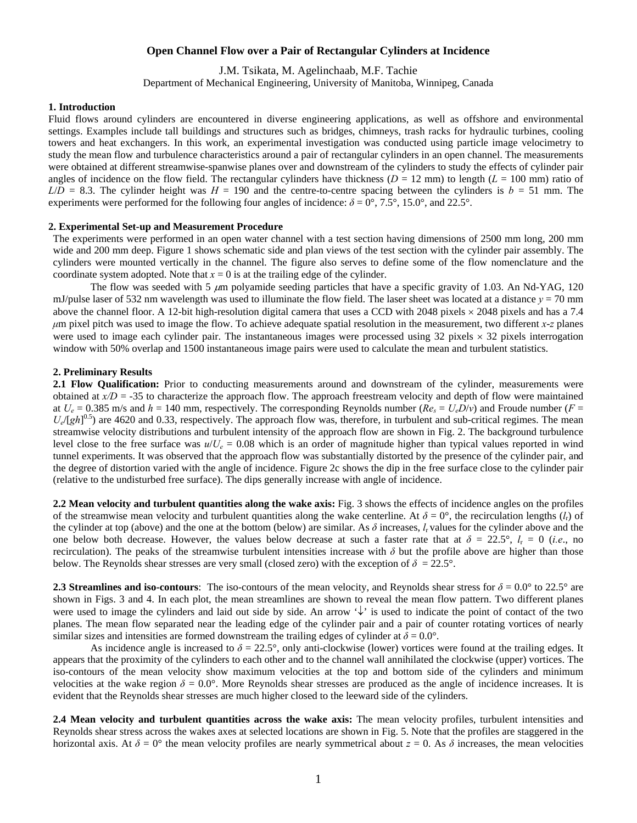# **Open Channel Flow over a Pair of Rectangular Cylinders at Incidence**

J.M. Tsikata, M. Agelinchaab, M.F. Tachie

Department of Mechanical Engineering, University of Manitoba, Winnipeg, Canada

#### **1. Introduction**

Fluid flows around cylinders are encountered in diverse engineering applications, as well as offshore and environmental settings. Examples include tall buildings and structures such as bridges, chimneys, trash racks for hydraulic turbines, cooling towers and heat exchangers. In this work, an experimental investigation was conducted using particle image velocimetry to study the mean flow and turbulence characteristics around a pair of rectangular cylinders in an open channel. The measurements were obtained at different streamwise-spanwise planes over and downstream of the cylinders to study the effects of cylinder pair angles of incidence on the flow field. The rectangular cylinders have thickness ( $D = 12$  mm) to length ( $L = 100$  mm) ratio of  $L/D = 8.3$ . The cylinder height was  $H = 190$  and the centre-to-centre spacing between the cylinders is  $b = 51$  mm. The experiments were performed for the following four angles of incidence:  $\delta = 0^{\circ}$ , 7.5°, 15.0°, and 22.5°.

### **2. Experimental Set-up and Measurement Procedure**

The experiments were performed in an open water channel with a test section having dimensions of 2500 mm long, 200 mm wide and 200 mm deep. Figure 1 shows schematic side and plan views of the test section with the cylinder pair assembly. The cylinders were mounted vertically in the channel. The figure also serves to define some of the flow nomenclature and the coordinate system adopted. Note that  $x = 0$  is at the trailing edge of the cylinder.

The flow was seeded with 5  $\mu$ m polyamide seeding particles that have a specific gravity of 1.03. An Nd-YAG, 120 mJ/pulse laser of 532 nm wavelength was used to illuminate the flow field. The laser sheet was located at a distance  $y = 70$  mm above the channel floor. A 12-bit high-resolution digital camera that uses a CCD with 2048 pixels  $\times$  2048 pixels and has a 7.4 *μ*m pixel pitch was used to image the flow. To achieve adequate spatial resolution in the measurement, two different *x*-*z* planes were used to image each cylinder pair. The instantaneous images were processed using  $32$  pixels  $\times 32$  pixels interrogation window with 50% overlap and 1500 instantaneous image pairs were used to calculate the mean and turbulent statistics.

## **2. Preliminary Results**

**2.1 Flow Qualification:** Prior to conducting measurements around and downstream of the cylinder, measurements were obtained at  $x/D = -35$  to characterize the approach flow. The approach freestream velocity and depth of flow were maintained at  $U_e = 0.385$  m/s and  $h = 140$  mm, respectively. The corresponding Reynolds number  $(Re_s = U_e D/v)$  and Froude number  $(F =$  $U_e/[gh]^{0.5}$ ) are 4620 and 0.33, respectively. The approach flow was, therefore, in turbulent and sub-critical regimes. The mean streamwise velocity distributions and turbulent intensity of the approach flow are shown in Fig. 2. The background turbulence level close to the free surface was  $u/U_e = 0.08$  which is an order of magnitude higher than typical values reported in wind tunnel experiments. It was observed that the approach flow was substantially distorted by the presence of the cylinder pair, and the degree of distortion varied with the angle of incidence. Figure 2c shows the dip in the free surface close to the cylinder pair (relative to the undisturbed free surface). The dips generally increase with angle of incidence.

**2.2 Mean velocity and turbulent quantities along the wake axis:** Fig. 3 shows the effects of incidence angles on the profiles of the streamwise mean velocity and turbulent quantities along the wake centerline. At  $\delta = 0^{\circ}$ , the recirculation lengths ( $l_r$ ) of the cylinder at top (above) and the one at the bottom (below) are similar. As  $\delta$  increases,  $l_r$  values for the cylinder above and the one below both decrease. However, the values below decrease at such a faster rate that at  $\delta = 22.5^{\circ}$ ,  $l_r = 0$  (*i.e.*, no recirculation). The peaks of the streamwise turbulent intensities increase with  $\delta$  but the profile above are higher than those below. The Reynolds shear stresses are very small (closed zero) with the exception of  $\delta = 22.5^{\circ}$ .

**2.3 Streamlines and iso-contours**: The iso-contours of the mean velocity, and Reynolds shear stress for  $\delta = 0.0^{\circ}$  to 22.5° are shown in Figs. 3 and 4. In each plot, the mean streamlines are shown to reveal the mean flow pattern. Two different planes were used to image the cylinders and laid out side by side. An arrow  $\sqrt{\cdot}$  is used to indicate the point of contact of the two planes. The mean flow separated near the leading edge of the cylinder pair and a pair of counter rotating vortices of nearly similar sizes and intensities are formed downstream the trailing edges of cylinder at  $\delta = 0.0^{\circ}$ .

As incidence angle is increased to  $\delta = 22.5^{\circ}$ , only anti-clockwise (lower) vortices were found at the trailing edges. It appears that the proximity of the cylinders to each other and to the channel wall [annihilated](http://thesaurus.reference.com/browse/annihilate) the clockwise (upper) vortices. The iso-contours of the mean velocity show maximum velocities at the top and bottom side of the cylinders and minimum velocities at the wake region  $\delta = 0.0^{\circ}$ . More Reynolds shear stresses are produced as the angle of incidence increases. It is evident that the Reynolds shear stresses are much higher closed to the leeward side of the cylinders.

**2.4 Mean velocity and turbulent quantities across the wake axis:** The mean velocity profiles, turbulent intensities and Reynolds shear stress across the wakes axes at selected locations are shown in Fig. 5. Note that the profiles are staggered in the horizontal axis. At  $\delta = 0^{\circ}$  the mean velocity profiles are nearly symmetrical about  $z = 0$ . As  $\delta$  increases, the mean velocities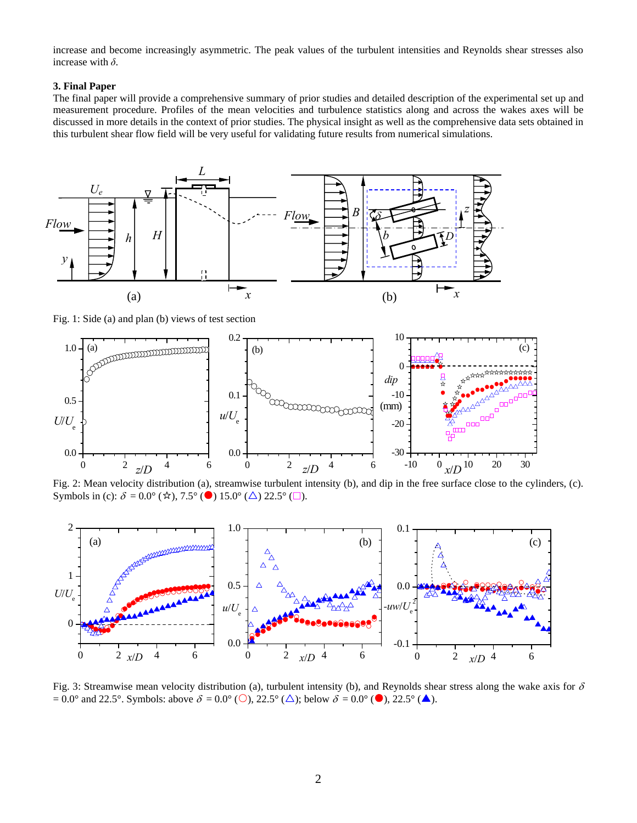increase and become increasingly asymmetric. The peak values of the turbulent intensities and Reynolds shear stresses also increase with *δ*.

## **3. Final Paper**

The final paper will provide a comprehensive summary of prior studies and detailed description of the experimental set up and measurement procedure. Profiles of the mean velocities and turbulence statistics along and across the wakes axes will be discussed in more details in the context of prior studies. The physical insight as well as the comprehensive data sets obtained in this turbulent shear flow field will be very useful for validating future results from numerical simulations.



Fig. 1: Side (a) and plan (b) views of test section



Fig. 2: Mean velocity distribution (a), streamwise turbulent intensity (b), and dip in the free surface close to the cylinders, (c). Symbols in (c):  $\delta = 0.0^{\circ}$  ( $\star$ ), 7.5° ( $\bullet$ ) 15.0° ( $\Delta$ ) 22.5° ( $\Box$ ).



Fig. 3: Streamwise mean velocity distribution (a), turbulent intensity (b), and Reynolds shear stress along the wake axis for  $\delta$  $= 0.0^{\circ}$  and 22.5°. Symbols: above  $\delta = 0.0^{\circ}$  (O), 22.5° ( $\triangle$ ); below  $\delta = 0.0^{\circ}$  ( $\bullet$ ), 22.5° ( $\triangle$ ).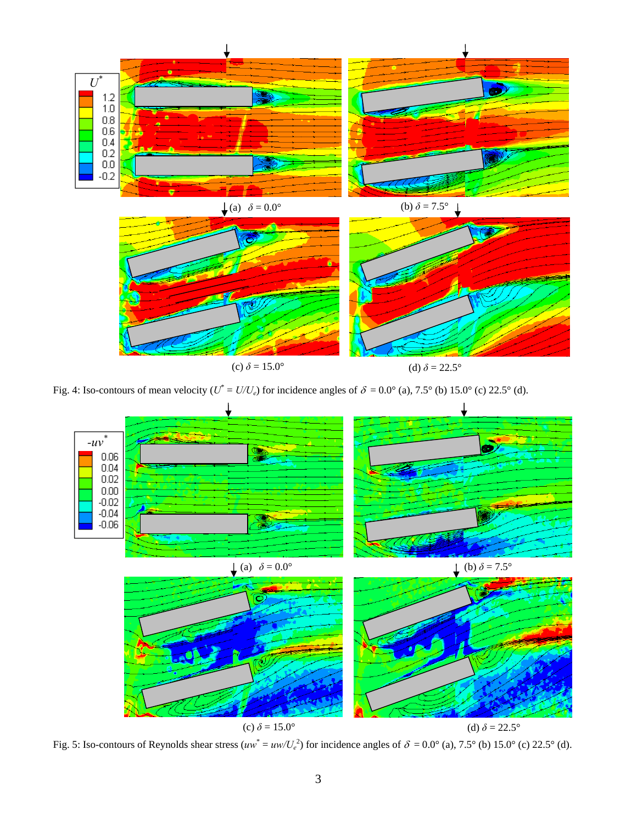

Fig. 4: Iso-contours of mean velocity ( $U^* = U/U_e$ ) for incidence angles of  $\delta = 0.0^{\circ}$  (a), 7.5° (b) 15.0° (c) 22.5° (d).



Fig. 5: Iso-contours of Reynolds shear stress  $(uw^* = uw/U_e^2)$  for incidence angles of  $\delta = 0.0^{\circ}$  (a), 7.5° (b) 15.0° (c) 22.5° (d).